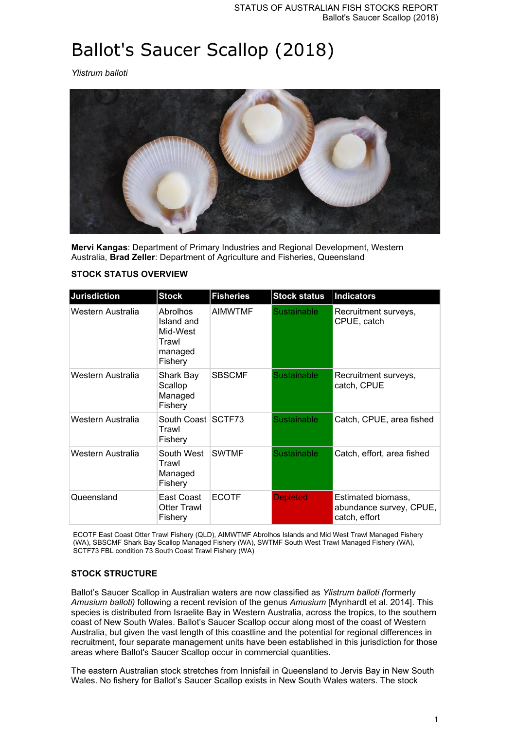# Ballot's Saucer Scallop (2018)

*Ylistrum balloti*



**Mervi Kangas**: Department of Primary Industries and Regional Development, Western Australia, **Brad Zeller**: Department of Agriculture and Fisheries, Queensland

| Jurisdiction      | <b>Stock</b>                                                      | <b>Fisheries</b> | <b>Stock status</b> | <b>Indicators</b>                                              |
|-------------------|-------------------------------------------------------------------|------------------|---------------------|----------------------------------------------------------------|
| Western Australia | Abrolhos<br>Island and<br>Mid-West<br>Trawl<br>managed<br>Fishery | <b>AIMWTMF</b>   | <b>Sustainable</b>  | Recruitment surveys,<br>CPUE, catch                            |
| Western Australia | Shark Bay<br>Scallop<br>Managed<br>Fishery                        | <b>SBSCMF</b>    | <b>Sustainable</b>  | Recruitment surveys,<br>catch, CPUE                            |
| Western Australia | South Coast SCTF73<br>Trawl<br>Fishery                            |                  | Sustainable         | Catch, CPUE, area fished                                       |
| Western Australia | South West<br>Trawl<br>Managed<br>Fishery                         | <b>SWTMF</b>     | <b>Sustainable</b>  | Catch, effort, area fished                                     |
| Queensland        | East Coast<br><b>Otter Trawl</b><br>Fishery                       | <b>ECOTF</b>     | <b>Depleted</b>     | Estimated biomass,<br>abundance survey, CPUE,<br>catch, effort |

ECOTF East Coast Otter Trawl Fishery (QLD), AIMWTMF Abrolhos Islands and Mid West Trawl Managed Fishery (WA), SBSCMF Shark Bay Scallop Managed Fishery (WA), SWTMF South West Trawl Managed Fishery (WA), SCTF73 FBL condition 73 South Coast Trawl Fishery (WA)

### **STOCK STRUCTURE**

Ballot's Saucer Scallop in Australian waters are now classified as *Ylistrum balloti (*formerly *Amusium balloti)* following a recent revision of the genus *Amusium* [Mynhardt et al. 2014]. This species is distributed from Israelite Bay in Western Australia, across the tropics, to the southern coast of New South Wales. Ballot's Saucer Scallop occur along most of the coast of Western Australia, but given the vast length of this coastline and the potential for regional differences in recruitment, four separate management units have been established in this jurisdiction for those areas where Ballot's Saucer Scallop occur in commercial quantities.

The eastern Australian stock stretches from Innisfail in Queensland to Jervis Bay in New South Wales. No fishery for Ballot's Saucer Scallop exists in New South Wales waters. The stock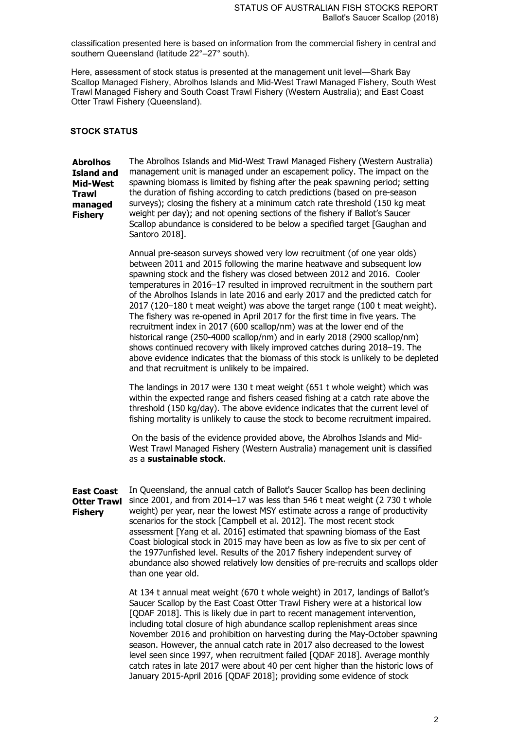classification presented here is based on information from the commercial fishery in central and southern Queensland (latitude 22°–27° south).

Here, assessment of stock status is presented at the management unit level—Shark Bay Scallop Managed Fishery, Abrolhos Islands and Mid-West Trawl Managed Fishery, South West Trawl Managed Fishery and South Coast Trawl Fishery (Western Australia); and East Coast Otter Trawl Fishery (Queensland).

#### **STOCK STATUS**

**Abrolhos Island and Mid-West Trawl managed Fishery**

The Abrolhos Islands and Mid-West Trawl Managed Fishery (Western Australia) management unit is managed under an escapement policy. The impact on the spawning biomass is limited by fishing after the peak spawning period; setting the duration of fishing according to catch predictions (based on pre-season surveys); closing the fishery at a minimum catch rate threshold (150 kg meat weight per day); and not opening sections of the fishery if Ballot's Saucer Scallop abundance is considered to be below a specified target [Gaughan and Santoro 2018].

Annual pre-season surveys showed very low recruitment (of one year olds) between 2011 and 2015 following the marine heatwave and subsequent low spawning stock and the fishery was closed between 2012 and 2016. Cooler temperatures in 2016–17 resulted in improved recruitment in the southern part of the Abrolhos Islands in late 2016 and early 2017 and the predicted catch for 2017 (120–180 t meat weight) was above the target range (100 t meat weight). The fishery was re-opened in April 2017 for the first time in five years. The recruitment index in 2017 (600 scallop/nm) was at the lower end of the historical range (250-4000 scallop/nm) and in early 2018 (2900 scallop/nm) shows continued recovery with likely improved catches during 2018–19. The above evidence indicates that the biomass of this stock is unlikely to be depleted and that recruitment is unlikely to be impaired.

The landings in 2017 were 130 t meat weight (651 t whole weight) which was within the expected range and fishers ceased fishing at a catch rate above the threshold (150 kg/day). The above evidence indicates that the current level of fishing mortality is unlikely to cause the stock to become recruitment impaired.

On the basis of the evidence provided above, the Abrolhos Islands and Mid-West Trawl Managed Fishery (Western Australia) management unit is classified as a **sustainable stock**.

**East Coast Otter Trawl Fishery** In Queensland, the annual catch of Ballot's Saucer Scallop has been declining since 2001, and from 2014–17 was less than 546 t meat weight (2 730 t whole weight) per year, near the lowest MSY estimate across a range of productivity scenarios for the stock [Campbell et al. 2012]. The most recent stock assessment [Yang et al. 2016] estimated that spawning biomass of the East Coast biological stock in 2015 may have been as low as five to six per cent of the 1977unfished level. Results of the 2017 fishery independent survey of abundance also showed relatively low densities of pre-recruits and scallops older than one year old.

> At 134 t annual meat weight (670 t whole weight) in 2017, landings of Ballot's Saucer Scallop by the East Coast Otter Trawl Fishery were at a historical low [QDAF 2018]. This is likely due in part to recent management intervention, including total closure of high abundance scallop replenishment areas since November 2016 and prohibition on harvesting during the May-October spawning season. However, the annual catch rate in 2017 also decreased to the lowest level seen since 1997, when recruitment failed [QDAF 2018]. Average monthly catch rates in late 2017 were about 40 per cent higher than the historic lows of January 2015-April 2016 [QDAF 2018]; providing some evidence of stock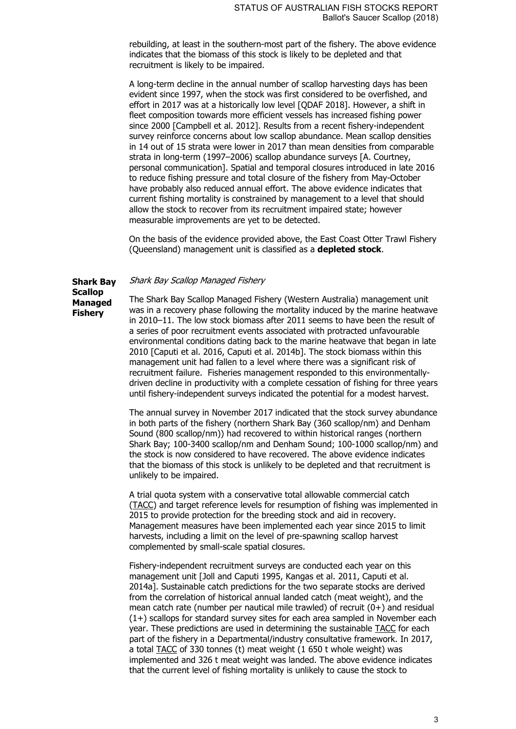rebuilding, at least in the southern-most part of the fishery. The above evidence indicates that the biomass of this stock is likely to be depleted and that recruitment is likely to be impaired.

A long-term decline in the annual number of scallop harvesting days has been evident since 1997, when the stock was first considered to be overfished, and effort in 2017 was at a historically low level [QDAF 2018]. However, a shift in fleet composition towards more efficient vessels has increased fishing power since 2000 [Campbell et al. 2012]. Results from a recent fishery-independent survey reinforce concerns about low scallop abundance. Mean scallop densities in 14 out of 15 strata were lower in 2017 than mean densities from comparable strata in long-term (1997–2006) scallop abundance surveys [A. Courtney, personal communication]. Spatial and temporal closures introduced in late 2016 to reduce fishing pressure and total closure of the fishery from May-October have probably also reduced annual effort. The above evidence indicates that current fishing mortality is constrained by management to a level that should allow the stock to recover from its recruitment impaired state; however measurable improvements are yet to be detected.

On the basis of the evidence provided above, the East Coast Otter Trawl Fishery (Queensland) management unit is classified as a **depleted stock**.

#### **Shark Bay**  Shark Bay Scallop Managed Fishery

**Scallop** 

**Fishery**

**Managed**  The Shark Bay Scallop Managed Fishery (Western Australia) management unit was in a recovery phase following the mortality induced by the marine heatwave in 2010–11. The low stock biomass after 2011 seems to have been the result of a series of poor recruitment events associated with protracted unfavourable environmental conditions dating back to the marine heatwave that began in late 2010 [Caputi et al. 2016, Caputi et al. 2014b]. The stock biomass within this management unit had fallen to a level where there was a significant risk of recruitment failure. Fisheries management responded to this environmentallydriven decline in productivity with a complete cessation of fishing for three years until fishery-independent surveys indicated the potential for a modest harvest.

> The annual survey in November 2017 indicated that the stock survey abundance in both parts of the fishery (northern Shark Bay (360 scallop/nm) and Denham Sound (800 scallop/nm)) had recovered to within historical ranges (northern Shark Bay; 100-3400 scallop/nm and Denham Sound; 100-1000 scallop/nm) and the stock is now considered to have recovered. The above evidence indicates that the biomass of this stock is unlikely to be depleted and that recruitment is unlikely to be impaired.

> A trial quota system with a conservative total allowable commercial catch (TACC) and target reference levels for resumption of fishing was implemented in 2015 to provide protection for the breeding stock and aid in recovery. Management measures have been implemented each year since 2015 to limit harvests, including a limit on the level of pre-spawning scallop harvest complemented by small-scale spatial closures.

> Fishery-independent recruitment surveys are conducted each year on this management unit [Joll and Caputi 1995, Kangas et al. 2011, Caputi et al. 2014a]. Sustainable catch predictions for the two separate stocks are derived from the correlation of historical annual landed catch (meat weight), and the mean catch rate (number per nautical mile trawled) of recruit (0+) and residual (1+) scallops for standard survey sites for each area sampled in November each year. These predictions are used in determining the sustainable TACC for each part of the fishery in a Departmental/industry consultative framework. In 2017, a total TACC of 330 tonnes (t) meat weight (1 650 t whole weight) was implemented and 326 t meat weight was landed. The above evidence indicates that the current level of fishing mortality is unlikely to cause the stock to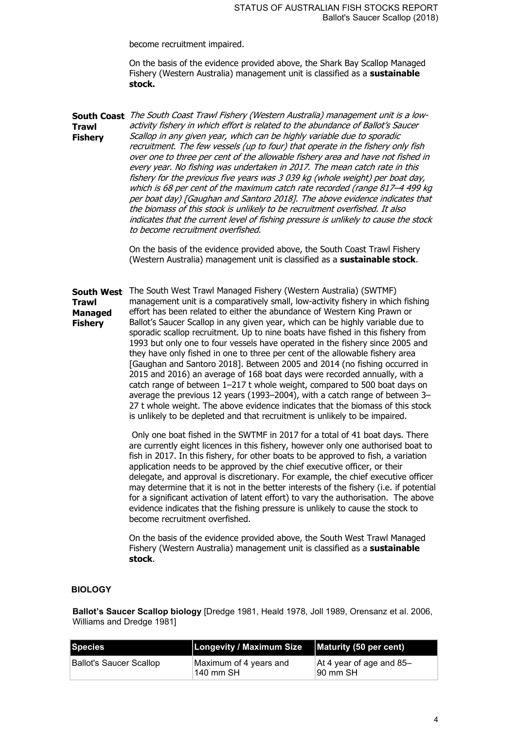become recruitment impaired.

On the basis of the evidence provided above, the Shark Bay Scallop Managed Fishery (Western Australia) management unit is classified as a **sustainable stock.**

**South Coast**  The South Coast Trawl Fishery (Western Australia) management unit is a low-**Trawl Fishery** activity fishery in which effort is related to the abundance of Ballot's Saucer Scallop in any given year, which can be highly variable due to sporadic recruitment. The few vessels (up to four) that operate in the fishery only fish over one to three per cent of the allowable fishery area and have not fished in every year. No fishing was undertaken in 2017. The mean catch rate in this fishery for the previous five years was 3 039 kg (whole weight) per boat day, which is 68 per cent of the maximum catch rate recorded (range 817–4 499 kg per boat day) [Gaughan and Santoro 2018]. The above evidence indicates that the biomass of this stock is unlikely to be recruitment overfished. It also indicates that the current level of fishing pressure is unlikely to cause the stock to become recruitment overfished.

> On the basis of the evidence provided above, the South Coast Trawl Fishery (Western Australia) management unit is classified as a **sustainable stock**.

**South West**  The South West Trawl Managed Fishery (Western Australia) (SWTMF) **Trawl Managed Fishery** management unit is a comparatively small, low-activity fishery in which fishing effort has been related to either the abundance of Western King Prawn or Ballot's Saucer Scallop in any given year, which can be highly variable due to sporadic scallop recruitment. Up to nine boats have fished in this fishery from 1993 but only one to four vessels have operated in the fishery since 2005 and they have only fished in one to three per cent of the allowable fishery area [Gaughan and Santoro 2018]. Between 2005 and 2014 (no fishing occurred in 2015 and 2016) an average of 168 boat days were recorded annually, with a catch range of between 1–217 t whole weight, compared to 500 boat days on average the previous 12 years (1993–2004), with a catch range of between 3– 27 t whole weight. The above evidence indicates that the biomass of this stock is unlikely to be depleted and that recruitment is unlikely to be impaired.

> Only one boat fished in the SWTMF in 2017 for a total of 41 boat days. There are currently eight licences in this fishery, however only one authorised boat to fish in 2017. In this fishery, for other boats to be approved to fish, a variation application needs to be approved by the chief executive officer, or their delegate, and approval is discretionary. For example, the chief executive officer may determine that it is not in the better interests of the fishery (i.e. if potential for a significant activation of latent effort) to vary the authorisation. The above evidence indicates that the fishing pressure is unlikely to cause the stock to become recruitment overfished.

On the basis of the evidence provided above, the South West Trawl Managed Fishery (Western Australia) management unit is classified as a **sustainable stock**.

#### **BIOLOGY**

**Ballot's Saucer Scallop biology** [Dredge 1981, Heald 1978, Joll 1989, Orensanz et al. 2006, Williams and Dredge 1981]

| Species                 | Longevity / Maximum Size   Maturity (50 per cent) |                                      |
|-------------------------|---------------------------------------------------|--------------------------------------|
| Ballot's Saucer Scallop | Maximum of 4 years and<br>140 mm SH               | At 4 year of age and 85-<br>90 mm SH |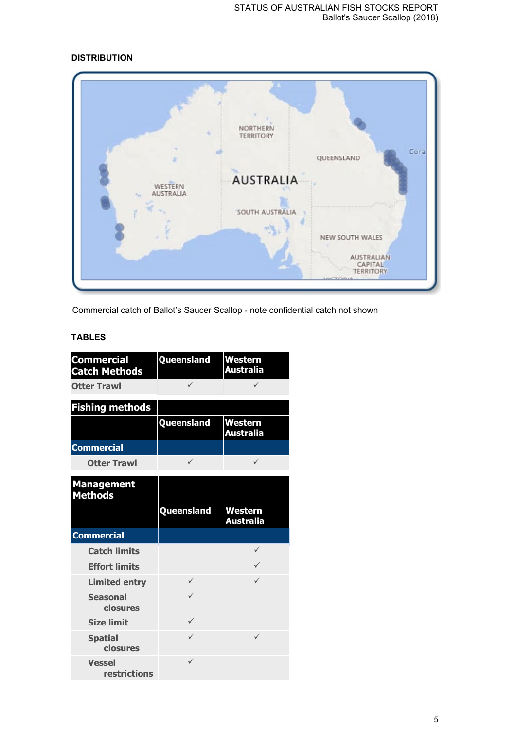# **DISTRIBUTION**



Commercial catch of Ballot's Saucer Scallop - note confidential catch not shown

# **TABLES**

| <b>Commercial</b><br><b>Catch Methods</b> | Queensland   | Western<br><b>Australia</b>        |
|-------------------------------------------|--------------|------------------------------------|
| <b>Otter Trawl</b>                        | ✓            |                                    |
| <b>Fishing methods</b>                    |              |                                    |
|                                           | Queensland   | <b>Western</b><br><b>Australia</b> |
| <b>Commercial</b>                         |              |                                    |
| <b>Otter Trawl</b>                        | $\checkmark$ | ✓                                  |
| <b>Management</b><br><b>Methods</b>       |              |                                    |
|                                           | Queensland   | <b>Western</b><br><b>Australia</b> |
| <b>Commercial</b>                         |              |                                    |
| <b>Catch limits</b>                       |              | ✓                                  |
| <b>Effort limits</b>                      |              | ✓                                  |
| <b>Limited entry</b>                      | $\checkmark$ | $\checkmark$                       |
| <b>Seasonal</b><br>closures               | $\checkmark$ |                                    |
| <b>Size limit</b>                         | ✓            |                                    |
| <b>Spatial</b><br>closures                | $\checkmark$ | ✓                                  |
| <b>Vessel</b><br>restrictions             | $\checkmark$ |                                    |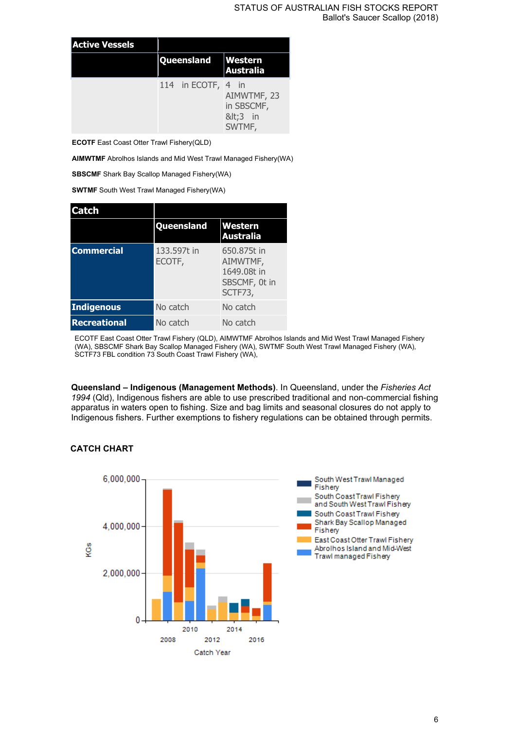| <b>Active Vessels</b> |                    |                                              |
|-----------------------|--------------------|----------------------------------------------|
|                       | Queensland         | <b>Western</b><br>Australia                  |
|                       | 114 in ECOTF, 4 in | AIMWTMF, 23<br>in SBSCMF,<br><3 in<br>SWTMF, |

**ECOTF** East Coast Otter Trawl Fishery(QLD)

**AIMWTMF** Abrolhos Islands and Mid West Trawl Managed Fishery(WA)

**SBSCMF** Shark Bay Scallop Managed Fishery(WA)

**SWTMF** South West Trawl Managed Fishery(WA)

| <b>Catch</b>        |                       |                                                                    |
|---------------------|-----------------------|--------------------------------------------------------------------|
|                     | Queensland            | Western<br><b>Australia</b>                                        |
| <b>Commercial</b>   | 133.597t in<br>ECOTF, | 650.875t in<br>AIMWTMF,<br>1649,08t in<br>SBSCMF, 0t in<br>SCTF73, |
| <b>Indigenous</b>   | No catch              | No catch                                                           |
| <b>Recreational</b> | No catch              | No catch                                                           |

ECOTF East Coast Otter Trawl Fishery (QLD), AIMWTMF Abrolhos Islands and Mid West Trawl Managed Fishery (WA), SBSCMF Shark Bay Scallop Managed Fishery (WA), SWTMF South West Trawl Managed Fishery (WA), SCTF73 FBL condition 73 South Coast Trawl Fishery (WA),

**Queensland – Indigenous (Management Methods)**. In Queensland, under the *Fisheries Act 1994* (Qld), Indigenous fishers are able to use prescribed traditional and non-commercial fishing apparatus in waters open to fishing. Size and bag limits and seasonal closures do not apply to Indigenous fishers. Further exemptions to fishery regulations can be obtained through permits.

### **CATCH CHART**